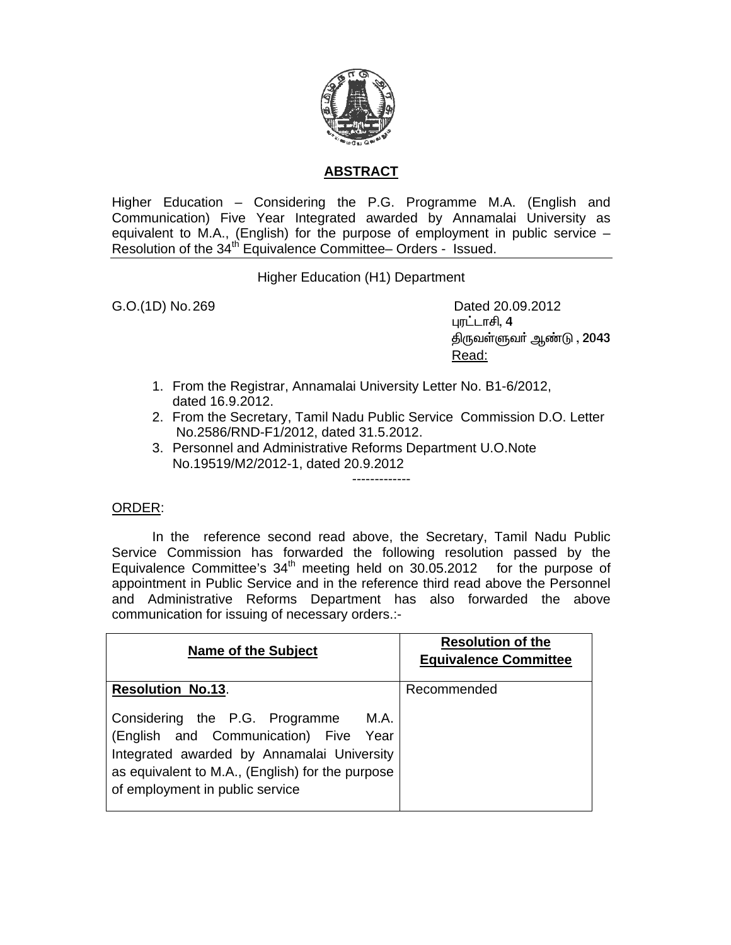

## **ABSTRACT**

Higher Education – Considering the P.G. Programme M.A. (English and Communication) Five Year Integrated awarded by Annamalai University as equivalent to M.A., (English) for the purpose of employment in public service – Resolution of the 34<sup>th</sup> Equivalence Committee– Orders - Issued.

Higher Education (H1) Department

G.O.(1D) No. 269 Dated 20.09.2012 புரட்டாசி,  $4$ திருவள்ளுவா் ஆண்டு , 2043 <u>Read: Album and Album and Album and Album and Album and Album and Album and Album and Album and Album and Album and Album and Album and Album and Album and Album and Album and Album and Album and Album and Album and Album</u>

- 1. From the Registrar, Annamalai University Letter No. B1-6/2012, dated 16.9.2012.
- 2. From the Secretary, Tamil Nadu Public Service Commission D.O. Letter No.2586/RND-F1/2012, dated 31.5.2012.
- 3. Personnel and Administrative Reforms Department U.O.Note No.19519/M2/2012-1, dated 20.9.2012

## ORDER:

 In the reference second read above, the Secretary, Tamil Nadu Public Service Commission has forwarded the following resolution passed by the Equivalence Committee's  $34<sup>th</sup>$  meeting held on  $30.05.2012$  for the purpose of appointment in Public Service and in the reference third read above the Personnel and Administrative Reforms Department has also forwarded the above communication for issuing of necessary orders.:-

-------------

| <b>Name of the Subject</b>                                                                                                                                                                                                                       | <b>Resolution of the</b><br><b>Equivalence Committee</b> |
|--------------------------------------------------------------------------------------------------------------------------------------------------------------------------------------------------------------------------------------------------|----------------------------------------------------------|
| <b>Resolution No.13.</b><br>Considering the P.G. Programme<br>M.A.<br>(English and Communication) Five Year<br>Integrated awarded by Annamalai University<br>as equivalent to M.A., (English) for the purpose<br>of employment in public service | Recommended                                              |